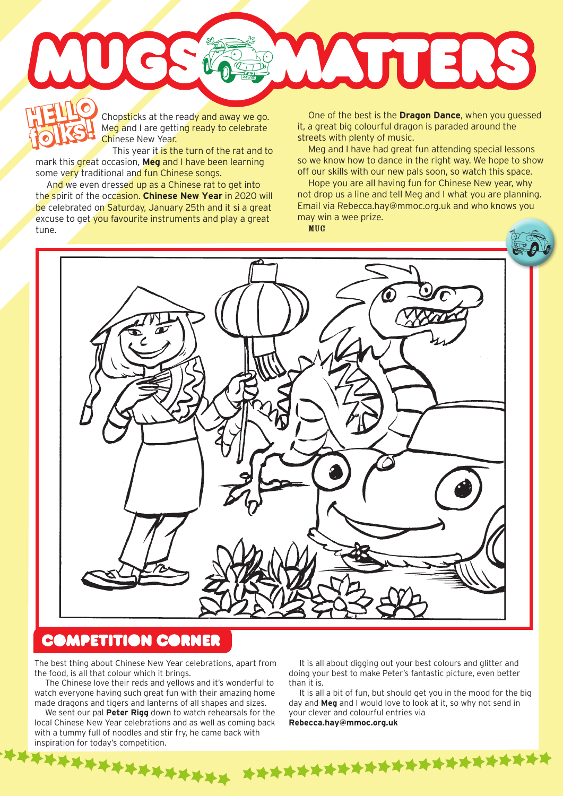Chopsticks at the ready and away we go. Meg and I are getting ready to celebrate Chinese New Year. **HELLO HELLO** 

This year it is the turn of the rat and to mark this great occasion, **Meg** and I have been learning some very traditional and fun Chinese songs. **folks!**

**folks!**

And we even dressed up as a Chinese rat to get into the spirit of the occasion. **Chinese New Year** in 2020 will be celebrated on Saturday, January 25th and it si a great excuse to get you favourite instruments and play a great tune.

One of the best is the **Dragon Dance**, when you guessed it, a great big colourful dragon is paraded around the streets with plenty of music.

WYTERS

Meg and I have had great fun attending special lessons so we know how to dance in the right way. We hope to show off our skills with our new pals soon, so watch this space.

Hope you are all having fun for Chinese New year, why not drop us a line and tell Meg and I what you are planning. Email via Rebecca.hay@mmoc.org.uk and who knows you may win a wee prize.

MUG



\*\*\*\*\*\*\*\*\*\*\*\*\*\*\*\*\*\*\*\*\*\*\*\*\*\*\*\*\*\*\*\*\*\*\*\*

## **COMPETITION CORNER**

The best thing about Chinese New Year celebrations, apart from the food, is all that colour which it brings.

The Chinese love their reds and yellows and it's wonderful to watch everyone having such great fun with their amazing home made dragons and tigers and lanterns of all shapes and sizes.

We sent our pal **Peter Rigg** down to watch rehearsals for the local Chinese New Year celebrations and as well as coming back with a tummy full of noodles and stir fry, he came back with inspiration for today's competition.

It is all about digging out your best colours and glitter and doing your best to make Peter's fantastic picture, even better than it is.

It is all a bit of fun, but should get you in the mood for the big day and **Meg** and I would love to look at it, so why not send in your clever and colourful entries via **Rebecca.hay@mmoc.org.uk**